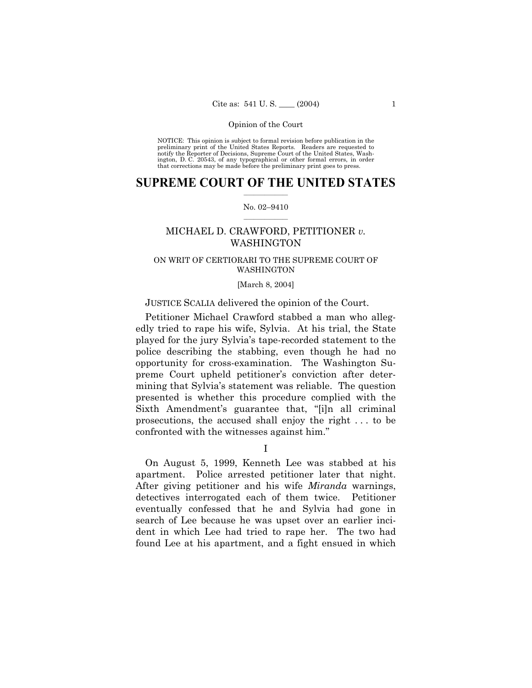NOTICE: This opinion is subject to formal revision before publication in the<br>preliminary print of the United States Reports. Readers are requested to<br>notify the Reporter of Decisions, Supreme Court of the United States, Wa ington, D. C. 20543, of any typographical or other formal errors, in order that corrections may be made before the preliminary print goes to press.

# **SUPREME COURT OF THE UNITED STATES**  $\mathcal{L}=\mathcal{L}^{\mathcal{L}}$

#### No. 02-9410  $\frac{1}{2}$  ,  $\frac{1}{2}$  ,  $\frac{1}{2}$  ,  $\frac{1}{2}$  ,  $\frac{1}{2}$  ,  $\frac{1}{2}$

# MICHAEL D. CRAWFORD, PETITIONER *v.* WASHINGTON

# ON WRIT OF CERTIORARI TO THE SUPREME COURT OF WASHINGTON

#### [March 8, 2004]

# JUSTICE SCALIA delivered the opinion of the Court.

Petitioner Michael Crawford stabbed a man who allegedly tried to rape his wife, Sylvia. At his trial, the State played for the jury Sylviaís tape-recorded statement to the police describing the stabbing, even though he had no opportunity for cross-examination. The Washington Supreme Court upheld petitionerís conviction after determining that Sylviaís statement was reliable. The question presented is whether this procedure complied with the Sixth Amendment's guarantee that, "[i]n all criminal prosecutions, the accused shall enjoy the right . . . to be confronted with the witnesses against him."

I

On August 5, 1999, Kenneth Lee was stabbed at his apartment. Police arrested petitioner later that night. After giving petitioner and his wife *Miranda* warnings, detectives interrogated each of them twice. Petitioner eventually confessed that he and Sylvia had gone in search of Lee because he was upset over an earlier incident in which Lee had tried to rape her. The two had found Lee at his apartment, and a fight ensued in which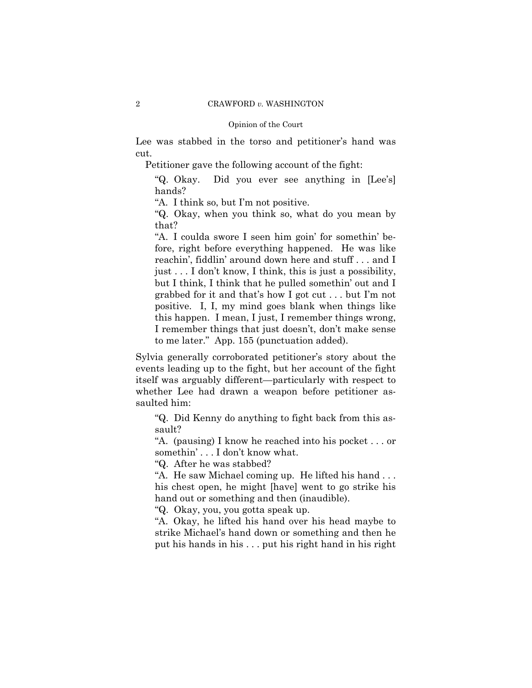Lee was stabbed in the torso and petitioner's hand was cut.

Petitioner gave the following account of the fight:

"Q. Okay. Did you ever see anything in [Lee's] hands?

"A. I think so, but I'm not positive.

ìQ. Okay, when you think so, what do you mean by that?

"A. I coulda swore I seen him goin' for somethin' before, right before everything happened. He was like reachiní, fiddliní around down here and stuff . . . and I just . . . I don't know, I think, this is just a possibility, but I think, I think that he pulled somethin' out and I grabbed for it and thatís how I got cut . . . but Iím not positive. I, I, my mind goes blank when things like this happen. I mean, I just, I remember things wrong, I remember things that just doesnít, donít make sense to me later." App. 155 (punctuation added).

Sylvia generally corroborated petitioner's story about the events leading up to the fight, but her account of the fight itself was arguably different—particularly with respect to whether Lee had drawn a weapon before petitioner assaulted him:

ìQ. Did Kenny do anything to fight back from this assault?

"A. (pausing) I know he reached into his pocket  $\dots$  or somethin'... I don't know what.

ìQ. After he was stabbed?

"A. He saw Michael coming up. He lifted his hand  $\dots$ his chest open, he might [have] went to go strike his hand out or something and then (inaudible).

ìQ. Okay, you, you gotta speak up.

"A. Okay, he lifted his hand over his head maybe to strike Michael's hand down or something and then he put his hands in his . . . put his right hand in his right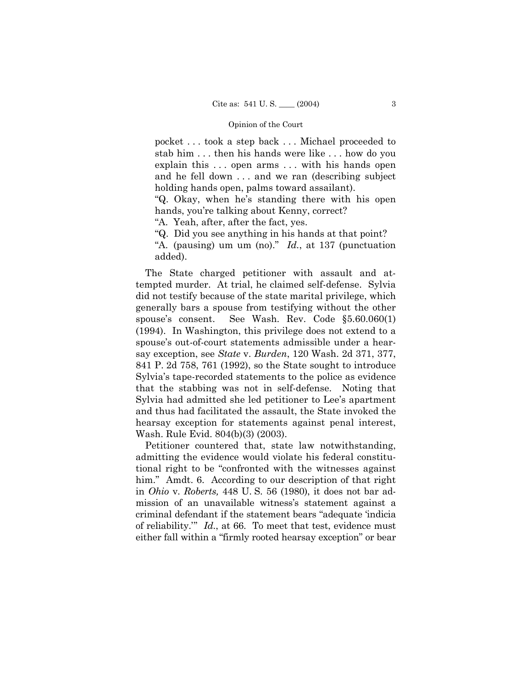pocket . . . took a step back . . . Michael proceeded to stab him . . . then his hands were like . . . how do you explain this ... open arms ... with his hands open and he fell down . . . and we ran (describing subject holding hands open, palms toward assailant).

ìQ. Okay, when heís standing there with his open hands, you're talking about Kenny, correct?

"A. Yeah, after, after the fact, yes.

ìQ. Did you see anything in his hands at that point?

"A. (pausing) um um (no)."  $Id.$ , at 137 (punctuation added).

The State charged petitioner with assault and attempted murder. At trial, he claimed self-defense. Sylvia did not testify because of the state marital privilege, which generally bars a spouse from testifying without the other spouse's consent. See Wash. Rev. Code §5.60.060(1) (1994). In Washington, this privilege does not extend to a spouse's out-of-court statements admissible under a hearsay exception, see *State* v. *Burden*, 120 Wash. 2d 371, 377, 841 P. 2d 758, 761 (1992), so the State sought to introduce Sylviaís tape-recorded statements to the police as evidence that the stabbing was not in self-defense. Noting that Sylvia had admitted she led petitioner to Lee's apartment and thus had facilitated the assault, the State invoked the hearsay exception for statements against penal interest, Wash. Rule Evid. 804(b)(3) (2003).

Petitioner countered that, state law notwithstanding, admitting the evidence would violate his federal constitutional right to be "confronted with the witnesses against him." Amdt. 6. According to our description of that right in *Ohio* v. *Roberts,* 448 U. S. 56 (1980), it does not bar admission of an unavailable witnessís statement against a criminal defendant if the statement bears "adequate 'indicia of reliability.<sup>"</sup> *Id.*, at 66. To meet that test, evidence must either fall within a "firmly rooted hearsay exception" or bear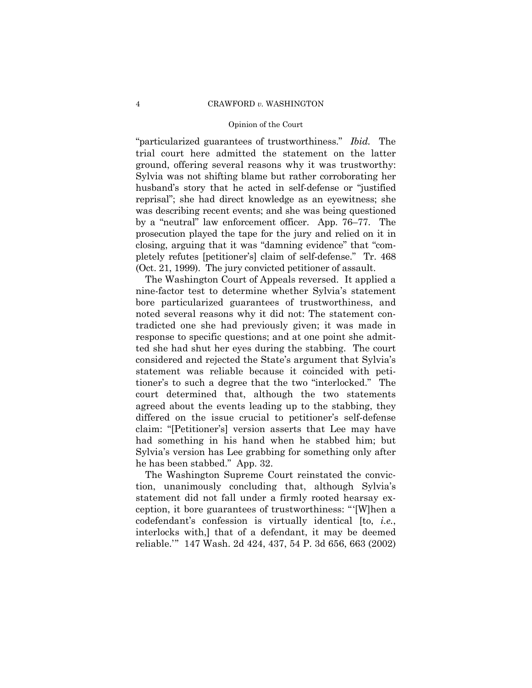ìparticularized guarantees of trustworthiness.î *Ibid.* The trial court here admitted the statement on the latter ground, offering several reasons why it was trustworthy: Sylvia was not shifting blame but rather corroborating her husband's story that he acted in self-defense or "justified" reprisal"; she had direct knowledge as an eyewitness; she was describing recent events; and she was being questioned by a "neutral" law enforcement officer. App.  $76-77$ . The prosecution played the tape for the jury and relied on it in closing, arguing that it was "damning evidence" that "completely refutes [petitioner's] claim of self-defense." Tr. 468 (Oct. 21, 1999). The jury convicted petitioner of assault.

The Washington Court of Appeals reversed. It applied a nine-factor test to determine whether Sylviaís statement bore particularized guarantees of trustworthiness, and noted several reasons why it did not: The statement contradicted one she had previously given; it was made in response to specific questions; and at one point she admitted she had shut her eyes during the stabbing. The court considered and rejected the State's argument that Sylvia's statement was reliable because it coincided with petitioner's to such a degree that the two "interlocked." The court determined that, although the two statements agreed about the events leading up to the stabbing, they differed on the issue crucial to petitioner's self-defense claim: "[Petitioner's] version asserts that Lee may have had something in his hand when he stabbed him; but Sylviaís version has Lee grabbing for something only after he has been stabbed." App. 32.

The Washington Supreme Court reinstated the conviction, unanimously concluding that, although Sylvia's statement did not fall under a firmly rooted hearsay exception, it bore guarantees of trustworthiness: "[W]hen a codefendantís confession is virtually identical [to, *i.e.*, interlocks with,] that of a defendant, it may be deemed reliable." 147 Wash. 2d 424, 437, 54 P. 3d 656, 663 (2002)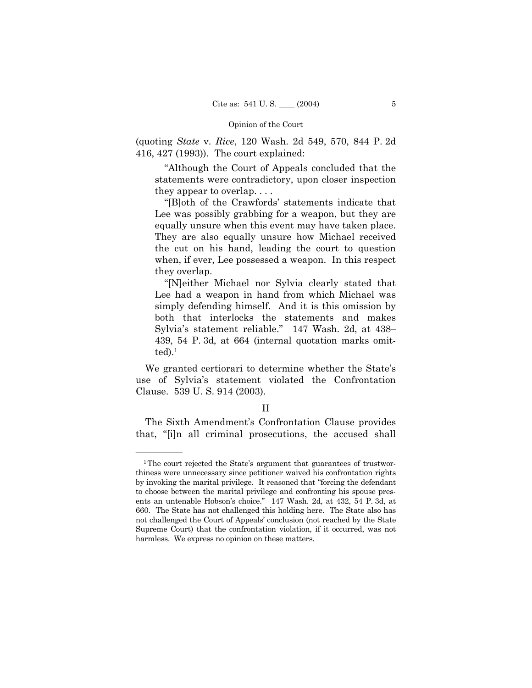(quoting *State* v. *Rice*, 120 Wash. 2d 549, 570, 844 P. 2d 416, 427 (1993)). The court explained:

ìAlthough the Court of Appeals concluded that the statements were contradictory, upon closer inspection they appear to overlap. . . .

ì[B]oth of the Crawfordsí statements indicate that Lee was possibly grabbing for a weapon, but they are equally unsure when this event may have taken place. They are also equally unsure how Michael received the cut on his hand, leading the court to question when, if ever, Lee possessed a weapon. In this respect they overlap.

ì[N]either Michael nor Sylvia clearly stated that Lee had a weapon in hand from which Michael was simply defending himself. And it is this omission by both that interlocks the statements and makes Sylvia's statement reliable." 147 Wash. 2d, at 438-439, 54 P. 3d, at 664 (internal quotation marks omit $ted).<sup>1</sup>$ 

We granted certiorari to determine whether the State's use of Sylviaís statement violated the Confrontation Clause. 539 U. S. 914 (2003).

# II

The Sixth Amendment's Confrontation Clause provides that, "[i]n all criminal prosecutions, the accused shall

<sup>&</sup>lt;sup>1</sup>The court rejected the State's argument that guarantees of trustworthiness were unnecessary since petitioner waived his confrontation rights by invoking the marital privilege. It reasoned that "forcing the defendant to choose between the marital privilege and confronting his spouse presents an untenable Hobsonís choice.î 147 Wash. 2d, at 432, 54 P. 3d, at 660. The State has not challenged this holding here. The State also has not challenged the Court of Appeals' conclusion (not reached by the State Supreme Court) that the confrontation violation, if it occurred, was not harmless. We express no opinion on these matters.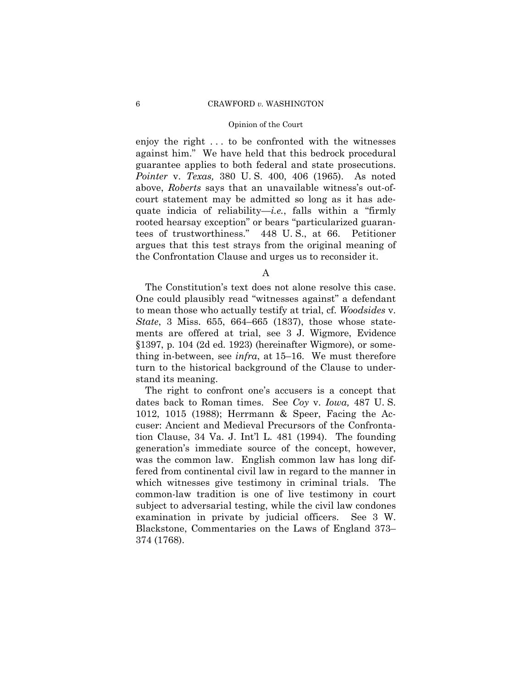# 6 CRAWFORD *v.* WASHINGTON

#### Opinion of the Court

enjoy the right . . . to be confronted with the witnesses against him." We have held that this bedrock procedural guarantee applies to both federal and state prosecutions. *Pointer* v. *Texas,* 380 U. S. 400, 406 (1965). As noted above, *Roberts* says that an unavailable witness's out-ofcourt statement may be admitted so long as it has adequate indicia of reliability $-i.e.,$  falls within a "firmly" rooted hearsay exception" or bears "particularized guarantees of trustworthiness.î 448 U. S., at 66. Petitioner argues that this test strays from the original meaning of the Confrontation Clause and urges us to reconsider it.

A

The Constitution's text does not alone resolve this case. One could plausibly read "witnesses against" a defendant to mean those who actually testify at trial, cf. *Woodsides* v. *State*, 3 Miss. 655, 664–665 (1837), those whose statements are offered at trial, see 3 J. Wigmore, Evidence ß1397, p. 104 (2d ed. 1923) (hereinafter Wigmore), or something in-between, see  $\inf \alpha$ , at 15–16. We must therefore turn to the historical background of the Clause to understand its meaning.

The right to confront one's accusers is a concept that dates back to Roman times. See *Coy* v. *Iowa,* 487 U. S. 1012, 1015 (1988); Herrmann & Speer, Facing the Accuser: Ancient and Medieval Precursors of the Confrontation Clause, 34 Va. J. Intíl L. 481 (1994). The founding generationís immediate source of the concept, however, was the common law. English common law has long differed from continental civil law in regard to the manner in which witnesses give testimony in criminal trials. The common-law tradition is one of live testimony in court subject to adversarial testing, while the civil law condones examination in private by judicial officers. See 3 W. Blackstone, Commentaries on the Laws of England 373– 374 (1768).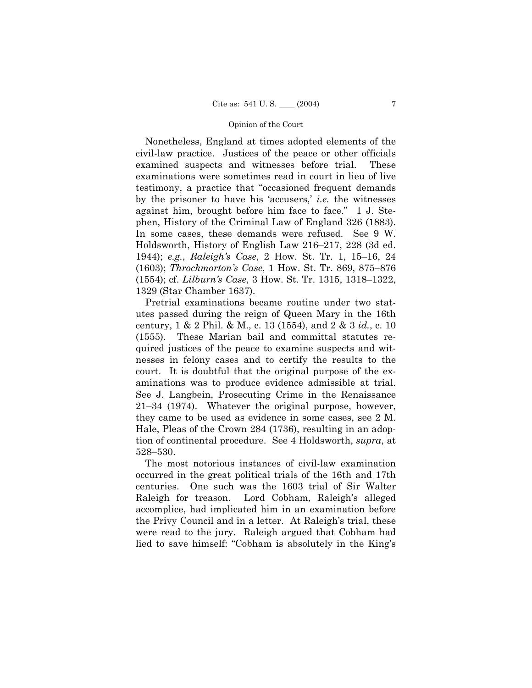Nonetheless, England at times adopted elements of the civil-law practice. Justices of the peace or other officials examined suspects and witnesses before trial. These examinations were sometimes read in court in lieu of live testimony, a practice that "occasioned frequent demands by the prisoner to have his 'accusers,' *i.e.* the witnesses against him, brought before him face to face.î 1 J. Stephen, History of the Criminal Law of England 326 (1883). In some cases, these demands were refused. See 9 W. Holdsworth, History of English Law  $216-217$ ,  $228$  (3d ed. 1944); *e.g.*, *Raleigh's Case*, 2 How. St. Tr. 1, 15–16, 24 (1603); *Throckmorton's Case*, 1 How. St. Tr. 869, 875–876 (1554); cf. *Lilburn's Case*, 3 How. St. Tr. 1315, 1318–1322, 1329 (Star Chamber 1637).

Pretrial examinations became routine under two statutes passed during the reign of Queen Mary in the 16th century, 1 & 2 Phil. & M., c. 13 (1554), and 2 & 3 *id.*, c. 10 (1555). These Marian bail and committal statutes required justices of the peace to examine suspects and witnesses in felony cases and to certify the results to the court. It is doubtful that the original purpose of the examinations was to produce evidence admissible at trial. See J. Langbein, Prosecuting Crime in the Renaissance  $21-34$  (1974). Whatever the original purpose, however, they came to be used as evidence in some cases, see 2 M. Hale, Pleas of the Crown 284 (1736), resulting in an adoption of continental procedure. See 4 Holdsworth, *supra*, at  $528 - 530.$ 

The most notorious instances of civil-law examination occurred in the great political trials of the 16th and 17th centuries. One such was the 1603 trial of Sir Walter Raleigh for treason. Lord Cobham, Raleigh's alleged accomplice, had implicated him in an examination before the Privy Council and in a letter. At Raleigh's trial, these were read to the jury. Raleigh argued that Cobham had lied to save himself: "Cobham is absolutely in the King's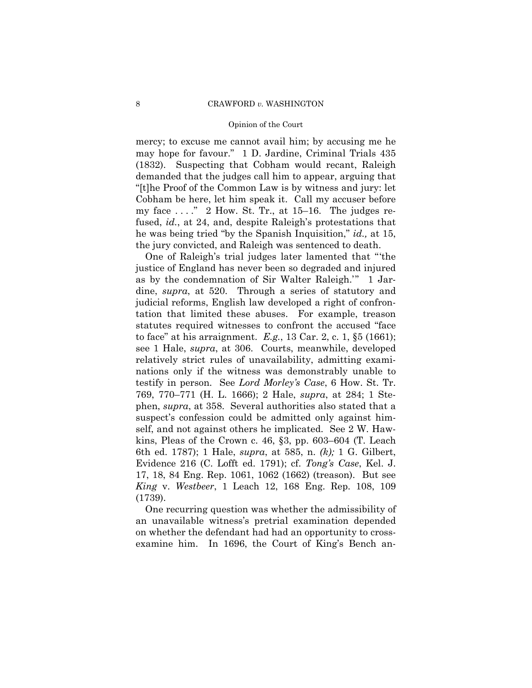mercy; to excuse me cannot avail him; by accusing me he may hope for favour." 1 D. Jardine, Criminal Trials 435 (1832). Suspecting that Cobham would recant, Raleigh demanded that the judges call him to appear, arguing that ì[t]he Proof of the Common Law is by witness and jury: let Cobham be here, let him speak it. Call my accuser before my face  $\dots$ ." 2 How. St. Tr., at 15–16. The judges refused, *id.*, at 24, and, despite Raleigh's protestations that he was being tried "by the Spanish Inquisition," *id.*, at 15, the jury convicted, and Raleigh was sentenced to death.

One of Raleigh's trial judges later lamented that "the justice of England has never been so degraded and injured as by the condemnation of Sir Walter Raleigh.<sup>77</sup> 1 Jardine, *supra*, at 520. Through a series of statutory and judicial reforms, English law developed a right of confrontation that limited these abuses. For example, treason statutes required witnesses to confront the accused "face" to faceî at his arraignment. *E.g.*, 13 Car. 2, c. 1, ß5 (1661); see 1 Hale, *supra*, at 306. Courts, meanwhile, developed relatively strict rules of unavailability, admitting examinations only if the witness was demonstrably unable to testify in person. See *Lord Morleyís Case*, 6 How. St. Tr. 769, 770–771 (H. L. 1666); 2 Hale, *supra*, at 284; 1 Stephen, *supra*, at 358. Several authorities also stated that a suspect's confession could be admitted only against himself, and not against others he implicated. See 2 W. Hawkins, Pleas of the Crown c. 46,  $\S 3$ , pp. 603–604 (T. Leach 6th ed. 1787); 1 Hale, *supra*, at 585, n. *(k);* 1 G. Gilbert, Evidence 216 (C. Lofft ed. 1791); cf. *Tongís Case*, Kel. J. 17, 18, 84 Eng. Rep. 1061, 1062 (1662) (treason). But see *King* v. *Westbeer*, 1 Leach 12, 168 Eng. Rep. 108, 109 (1739).

One recurring question was whether the admissibility of an unavailable witnessís pretrial examination depended on whether the defendant had had an opportunity to crossexamine him. In 1696, the Court of King's Bench an-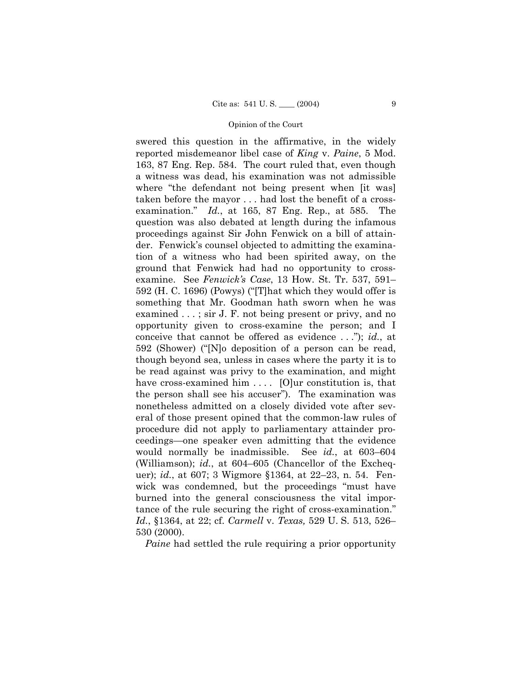swered this question in the affirmative, in the widely reported misdemeanor libel case of *King* v. *Paine*, 5 Mod. 163, 87 Eng. Rep. 584. The court ruled that, even though a witness was dead, his examination was not admissible where "the defendant not being present when [it was] taken before the mayor . . . had lost the benefit of a crossexamination.î *Id.*, at 165, 87 Eng. Rep., at 585. The question was also debated at length during the infamous proceedings against Sir John Fenwick on a bill of attainder. Fenwick's counsel objected to admitting the examination of a witness who had been spirited away, on the ground that Fenwick had had no opportunity to crossexamine. See *Fenwick's Case*, 13 How. St. Tr. 537, 591–  $592$  (H. C. 1696) (Powys) ("[T]hat which they would offer is something that Mr. Goodman hath sworn when he was examined . . . ; sir J. F. not being present or privy, and no opportunity given to cross-examine the person; and I conceive that cannot be offered as evidence . . .î); *id.*, at 592 (Shower) ("[N]o deposition of a person can be read, though beyond sea, unless in cases where the party it is to be read against was privy to the examination, and might have cross-examined him .... [O]ur constitution is, that the person shall see his accuser"). The examination was nonetheless admitted on a closely divided vote after several of those present opined that the common-law rules of procedure did not apply to parliamentary attainder proceedings—one speaker even admitting that the evidence would normally be inadmissible. See *id.*, at 603–604 (Williamson);  $id.$ , at  $604–605$  (Chancellor of the Exchequer); *id.*, at 607; 3 Wigmore §1364, at 22–23, n. 54. Fenwick was condemned, but the proceedings "must have burned into the general consciousness the vital importance of the rule securing the right of cross-examination.<sup>n</sup> *Id.*, §1364, at 22; cf. *Carmell* v. *Texas*, 529 U. S. 513, 526– 530 (2000).

*Paine* had settled the rule requiring a prior opportunity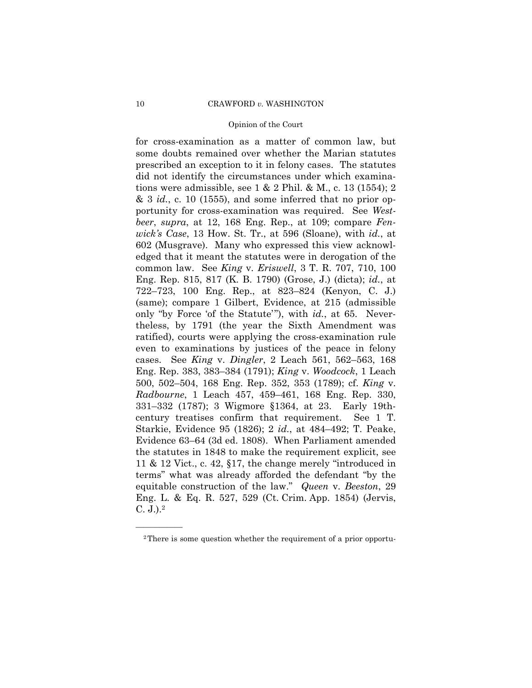for cross-examination as a matter of common law, but some doubts remained over whether the Marian statutes prescribed an exception to it in felony cases. The statutes did not identify the circumstances under which examinations were admissible, see 1 & 2 Phil. & M., c. 13 (1554); 2 & 3 *id.*, c. 10 (1555), and some inferred that no prior opportunity for cross-examination was required. See *Westbeer*, *supra*, at 12, 168 Eng. Rep., at 109; compare *Fenwickís Case*, 13 How. St. Tr., at 596 (Sloane), with *id.*, at 602 (Musgrave). Many who expressed this view acknowledged that it meant the statutes were in derogation of the common law. See *King* v. *Eriswell*, 3 T. R. 707, 710, 100 Eng. Rep. 815, 817 (K. B. 1790) (Grose, J.) (dicta); *id.*, at 722–723, 100 Eng. Rep., at 823–824 (Kenyon, C. J.) (same); compare 1 Gilbert, Evidence, at 215 (admissible only "by Force 'of the Statute'"), with *id.*, at 65. Nevertheless, by 1791 (the year the Sixth Amendment was ratified), courts were applying the cross-examination rule even to examinations by justices of the peace in felony cases. See *King* v. *Dingler*, 2 Leach 561, 562–563, 168 Eng. Rep. 383, 383–384 (1791); *King* v. *Woodcock*, 1 Leach 500, 502–504, 168 Eng. Rep. 352, 353 (1789); cf. *King* v. *Radbourne*, 1 Leach 457, 459–461, 168 Eng. Rep. 330, 331-332 (1787); 3 Wigmore §1364, at 23. Early 19thcentury treatises confirm that requirement. See 1 T. Starkie, Evidence 95 (1826); 2 *id.*, at 484-492; T. Peake, Evidence 63–64 (3d ed. 1808). When Parliament amended the statutes in 1848 to make the requirement explicit, see 11 & 12 Vict., c. 42,  $\S17$ , the change merely "introduced in terms" what was already afforded the defendant "by the equitable construction of the law.î *Queen* v. *Beeston*, 29 Eng. L. & Eq. R. 527, 529 (Ct. Crim. App. 1854) (Jervis,  $C. J.$ ).<sup>2</sup>

<sup>2</sup>There is some question whether the requirement of a prior opportu-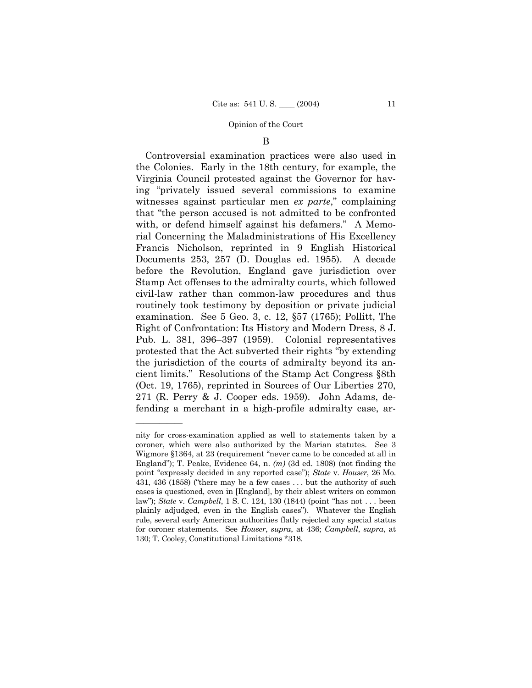### B

Controversial examination practices were also used in the Colonies. Early in the 18th century, for example, the Virginia Council protested against the Governor for having "privately issued several commissions to examine witnesses against particular men ex parte," complaining that "the person accused is not admitted to be confronted with, or defend himself against his defamers." A Memorial Concerning the Maladministrations of His Excellency Francis Nicholson, reprinted in 9 English Historical Documents 253, 257 (D. Douglas ed. 1955). A decade before the Revolution, England gave jurisdiction over Stamp Act offenses to the admiralty courts, which followed civil-law rather than common-law procedures and thus routinely took testimony by deposition or private judicial examination. See 5 Geo. 3, c. 12, ß57 (1765); Pollitt, The Right of Confrontation: Its History and Modern Dress, 8 J. Pub. L. 381, 396–397 (1959). Colonial representatives protested that the Act subverted their rights "by extending the jurisdiction of the courts of admiralty beyond its ancient limits." Resolutions of the Stamp Act Congress §8th (Oct. 19, 1765), reprinted in Sources of Our Liberties 270, 271 (R. Perry & J. Cooper eds. 1959). John Adams, defending a merchant in a high-profile admiralty case, ar-

nity for cross-examination applied as well to statements taken by a coroner, which were also authorized by the Marian statutes. See 3 Wigmore  $§1364$ , at 23 (requirement "never came to be conceded at all in Englandî); T. Peake, Evidence 64, n. *(m)* (3d ed. 1808) (not finding the point "expressly decided in any reported case"); *State* v. *Houser*, 26 Mo. 431, 436 (1858) ("there may be a few cases  $\dots$  but the authority of such cases is questioned, even in [England], by their ablest writers on common law"); *State* v. *Campbell*, 1 S. C. 124, 130 (1844) (point "has not . . . been plainly adjudged, even in the English cases"). Whatever the English rule, several early American authorities flatly rejected any special status for coroner statements. See *Houser*, *supra*, at 436; *Campbell*, *supra*, at 130; T. Cooley, Constitutional Limitations \*318.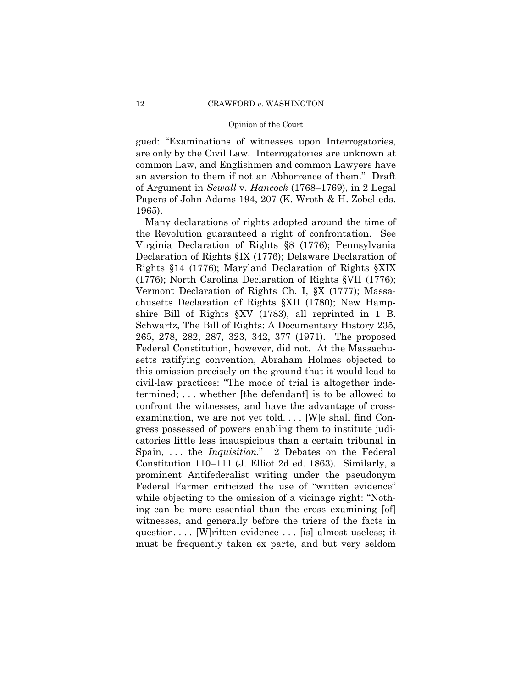gued: "Examinations of witnesses upon Interrogatories, are only by the Civil Law. Interrogatories are unknown at common Law, and Englishmen and common Lawyers have an aversion to them if not an Abhorrence of them." Draft of Argument in *Sewall* v. *Hancock* (1768–1769), in 2 Legal Papers of John Adams 194, 207 (K. Wroth & H. Zobel eds. 1965).

Many declarations of rights adopted around the time of the Revolution guaranteed a right of confrontation. See Virginia Declaration of Rights §8 (1776); Pennsylvania Declaration of Rights ßIX (1776); Delaware Declaration of Rights ß14 (1776); Maryland Declaration of Rights ßXIX (1776); North Carolina Declaration of Rights ßVII (1776); Vermont Declaration of Rights Ch. I, ßX (1777); Massachusetts Declaration of Rights ßXII (1780); New Hampshire Bill of Rights ßXV (1783), all reprinted in 1 B. Schwartz, The Bill of Rights: A Documentary History 235, 265, 278, 282, 287, 323, 342, 377 (1971). The proposed Federal Constitution, however, did not. At the Massachusetts ratifying convention, Abraham Holmes objected to this omission precisely on the ground that it would lead to civil-law practices: "The mode of trial is altogether indetermined; . . . whether [the defendant] is to be allowed to confront the witnesses, and have the advantage of crossexamination, we are not yet told. . . . [W]e shall find Congress possessed of powers enabling them to institute judicatories little less inauspicious than a certain tribunal in Spain, . . . the *Inquisition.*î 2 Debates on the Federal Constitution 110–111 (J. Elliot 2d ed. 1863). Similarly, a prominent Antifederalist writing under the pseudonym Federal Farmer criticized the use of "written evidence" while objecting to the omission of a vicinage right: "Nothing can be more essential than the cross examining [of] witnesses, and generally before the triers of the facts in question. . . . [W]ritten evidence . . . [is] almost useless; it must be frequently taken ex parte, and but very seldom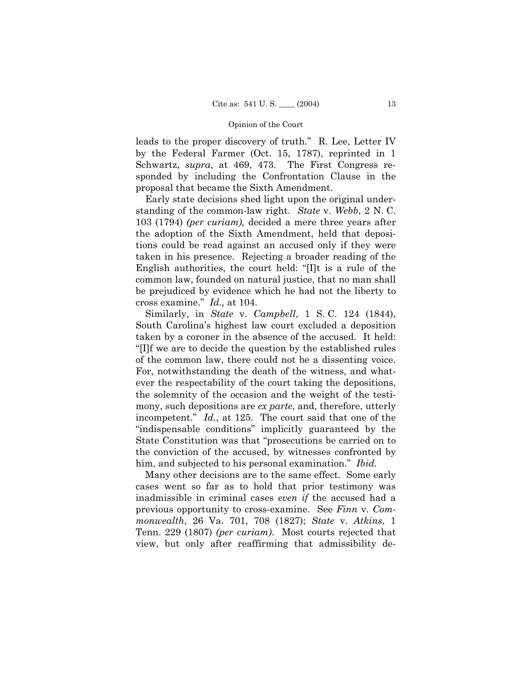leads to the proper discovery of truth." R. Lee, Letter IV by the Federal Farmer (Oct. 15, 1787), reprinted in 1 Schwartz, *supra*, at 469, 473. The First Congress responded by including the Confrontation Clause in the proposal that became the Sixth Amendment.

Early state decisions shed light upon the original understanding of the common-law right. *State* v. *Webb*, 2 N. C. 103 (1794) *(per curiam),* decided a mere three years after the adoption of the Sixth Amendment, held that depositions could be read against an accused only if they were taken in his presence. Rejecting a broader reading of the English authorities, the court held: " $[1]$ t is a rule of the common law, founded on natural justice, that no man shall be prejudiced by evidence which he had not the liberty to cross examine." *Id.*, at 104.

Similarly, in *State* v. *Campbell*, 1 S. C. 124 (1844), South Carolinaís highest law court excluded a deposition taken by a coroner in the absence of the accused. It held: ì[I]f we are to decide the question by the established rules of the common law, there could not be a dissenting voice. For, notwithstanding the death of the witness, and whatever the respectability of the court taking the depositions, the solemnity of the occasion and the weight of the testimony, such depositions are *ex parte*, and, therefore, utterly incompetent.<sup>n</sup> *Id.*, at 125. The court said that one of the "indispensable conditions" implicitly guaranteed by the State Constitution was that "prosecutions be carried on to the conviction of the accused, by witnesses confronted by him, and subjected to his personal examination.<sup>n</sup> *Ibid.* 

Many other decisions are to the same effect. Some early cases went so far as to hold that prior testimony was inadmissible in criminal cases *even if* the accused had a previous opportunity to cross-examine. See *Finn* v. *Commonwealth*, 26 Va. 701, 708 (1827); *State* v. *Atkins*, 1 Tenn. 229 (1807) *(per curiam)*. Most courts rejected that view, but only after reaffirming that admissibility de-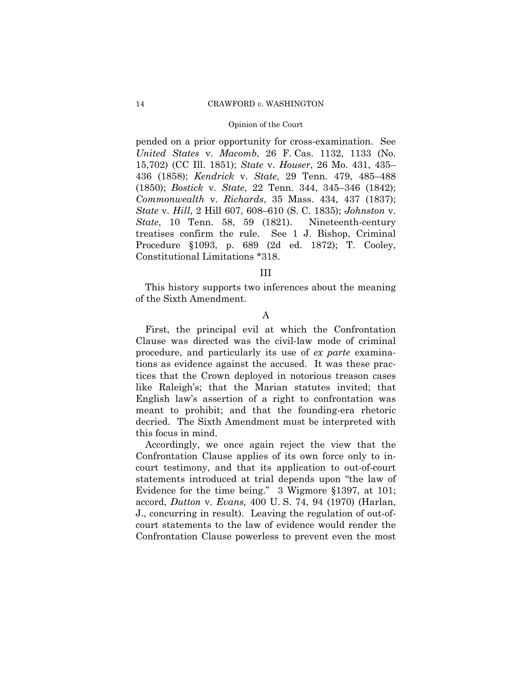pended on a prior opportunity for cross-examination. See *United States* v. *Macomb*, 26 F. Cas. 1132, 1133 (No. 15,702) (CC Ill. 1851); *State* v. *Houser*, 26 Mo. 431, 435– 436 (1858); *Kendrick v. State*, 29 Tenn. 479, 485-488 (1850); *Bostick v. State*, 22 Tenn. 344, 345-346 (1842); *Commonwealth* v. *Richards*, 35 Mass. 434, 437 (1837); *State* v. *Hill*, 2 Hill 607, 608–610 (S. C. 1835); *Johnston* v. *State*, 10 Tenn. 58, 59 (1821). Nineteenth-century treatises confirm the rule. See 1 J. Bishop, Criminal Procedure ß1093, p. 689 (2d ed. 1872); T. Cooley, Constitutional Limitations \*318.

# III

This history supports two inferences about the meaning of the Sixth Amendment.

A

First, the principal evil at which the Confrontation Clause was directed was the civil-law mode of criminal procedure, and particularly its use of *ex parte* examinations as evidence against the accused. It was these practices that the Crown deployed in notorious treason cases like Raleigh's; that the Marian statutes invited; that English lawís assertion of a right to confrontation was meant to prohibit; and that the founding-era rhetoric decried. The Sixth Amendment must be interpreted with this focus in mind.

Accordingly, we once again reject the view that the Confrontation Clause applies of its own force only to incourt testimony, and that its application to out-of-court statements introduced at trial depends upon "the law of Evidence for the time being." 3 Wigmore §1397, at 101; accord, *Dutton* v. *Evans,* 400 U. S. 74, 94 (1970) (Harlan, J., concurring in result). Leaving the regulation of out-ofcourt statements to the law of evidence would render the Confrontation Clause powerless to prevent even the most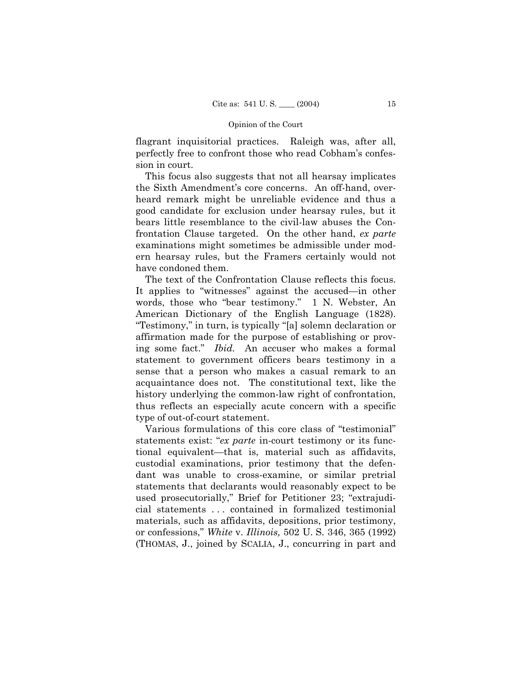flagrant inquisitorial practices. Raleigh was, after all, perfectly free to confront those who read Cobhamís confession in court.

This focus also suggests that not all hearsay implicates the Sixth Amendment's core concerns. An off-hand, overheard remark might be unreliable evidence and thus a good candidate for exclusion under hearsay rules, but it bears little resemblance to the civil-law abuses the Confrontation Clause targeted. On the other hand, *ex parte* examinations might sometimes be admissible under modern hearsay rules, but the Framers certainly would not have condoned them.

The text of the Confrontation Clause reflects this focus. It applies to "witnesses" against the accused—in other words, those who "bear testimony." 1 N. Webster, An American Dictionary of the English Language (1828). "Testimony," in turn, is typically "[a] solemn declaration or affirmation made for the purpose of establishing or proving some fact.î *Ibid.* An accuser who makes a formal statement to government officers bears testimony in a sense that a person who makes a casual remark to an acquaintance does not. The constitutional text, like the history underlying the common-law right of confrontation, thus reflects an especially acute concern with a specific type of out-of-court statement.

Various formulations of this core class of "testimonial" statements exist: "*ex parte* in-court testimony or its functional equivalent—that is, material such as affidavits, custodial examinations, prior testimony that the defendant was unable to cross-examine, or similar pretrial statements that declarants would reasonably expect to be used prosecutorially," Brief for Petitioner 23; "extrajudicial statements . . . contained in formalized testimonial materials, such as affidavits, depositions, prior testimony, or confessions,î *White* v. *Illinois,* 502 U. S. 346, 365 (1992) (THOMAS, J., joined by SCALIA, J., concurring in part and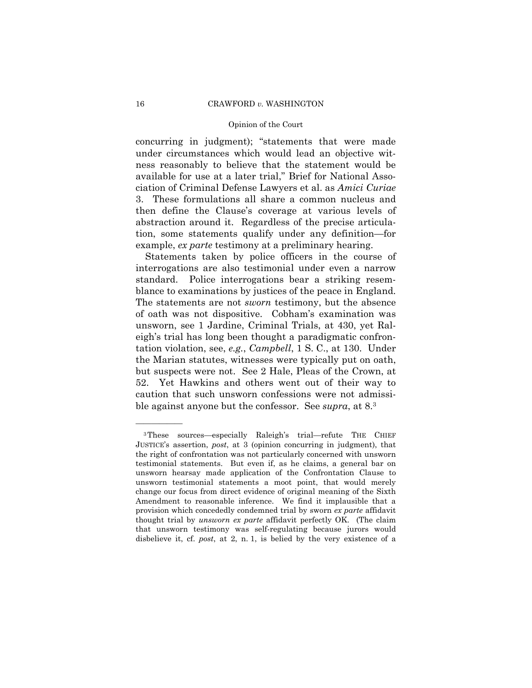concurring in judgment); "statements that were made under circumstances which would lead an objective witness reasonably to believe that the statement would be available for use at a later trial," Brief for National Association of Criminal Defense Lawyers et al. as *Amici Curiae* 3. These formulations all share a common nucleus and then define the Clauseís coverage at various levels of abstraction around it. Regardless of the precise articulation, some statements qualify under any definition—for example, *ex parte* testimony at a preliminary hearing.

Statements taken by police officers in the course of interrogations are also testimonial under even a narrow standard. Police interrogations bear a striking resemblance to examinations by justices of the peace in England. The statements are not *sworn* testimony, but the absence of oath was not dispositive. Cobhamís examination was unsworn, see 1 Jardine, Criminal Trials, at 430, yet Raleigh's trial has long been thought a paradigmatic confrontation violation, see, *e.g.*, *Campbell*, 1 S. C., at 130. Under the Marian statutes, witnesses were typically put on oath, but suspects were not. See 2 Hale, Pleas of the Crown, at 52. Yet Hawkins and others went out of their way to caution that such unsworn confessions were not admissible against anyone but the confessor. See *supra*, at 8.3

<sup>&</sup>lt;sup>3</sup>These sources—especially Raleigh's trial—refute THE CHIEF JUSTICEís assertion, *post*, at 3 (opinion concurring in judgment), that the right of confrontation was not particularly concerned with unsworn testimonial statements. But even if, as he claims, a general bar on unsworn hearsay made application of the Confrontation Clause to unsworn testimonial statements a moot point, that would merely change our focus from direct evidence of original meaning of the Sixth Amendment to reasonable inference. We find it implausible that a provision which concededly condemned trial by sworn *ex parte* affidavit thought trial by *unsworn ex parte* affidavit perfectly OK. (The claim that unsworn testimony was self-regulating because jurors would disbelieve it, cf. *post*, at 2, n. 1, is belied by the very existence of a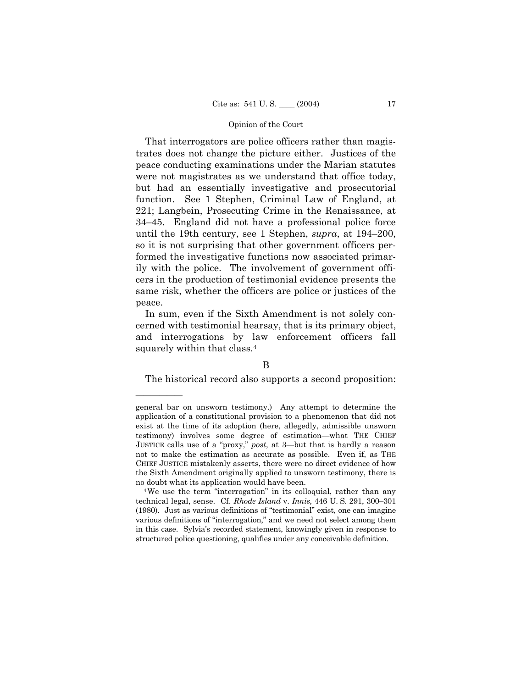That interrogators are police officers rather than magistrates does not change the picture either. Justices of the peace conducting examinations under the Marian statutes were not magistrates as we understand that office today, but had an essentially investigative and prosecutorial function. See 1 Stephen, Criminal Law of England, at 221; Langbein, Prosecuting Crime in the Renaissance, at 34–45. England did not have a professional police force until the 19th century, see 1 Stephen,  $\frac{\text{supra}}{\text{sup}}$ , at 194–200, so it is not surprising that other government officers performed the investigative functions now associated primarily with the police. The involvement of government officers in the production of testimonial evidence presents the same risk, whether the officers are police or justices of the peace.

In sum, even if the Sixth Amendment is not solely concerned with testimonial hearsay, that is its primary object, and interrogations by law enforcement officers fall squarely within that class.4

# B

<u>óóóóóóóóóóóóóó</u>

The historical record also supports a second proposition:

general bar on unsworn testimony.) Any attempt to determine the application of a constitutional provision to a phenomenon that did not exist at the time of its adoption (here, allegedly, admissible unsworn testimony) involves some degree of estimation—what THE CHIEF JUSTICE calls use of a "proxy," *post*, at 3—but that is hardly a reason not to make the estimation as accurate as possible. Even if, as THE CHIEF JUSTICE mistakenly asserts, there were no direct evidence of how the Sixth Amendment originally applied to unsworn testimony, there is no doubt what its application would have been.

<sup>&</sup>lt;sup>4</sup>We use the term "interrogation" in its colloquial, rather than any technical legal, sense. Cf. *Rhode Island* v. *Innis*, 446 U. S. 291, 300-301 (1980). Just as various definitions of "testimonial" exist, one can imagine various definitions of "interrogation," and we need not select among them in this case. Sylviaís recorded statement, knowingly given in response to structured police questioning, qualifies under any conceivable definition.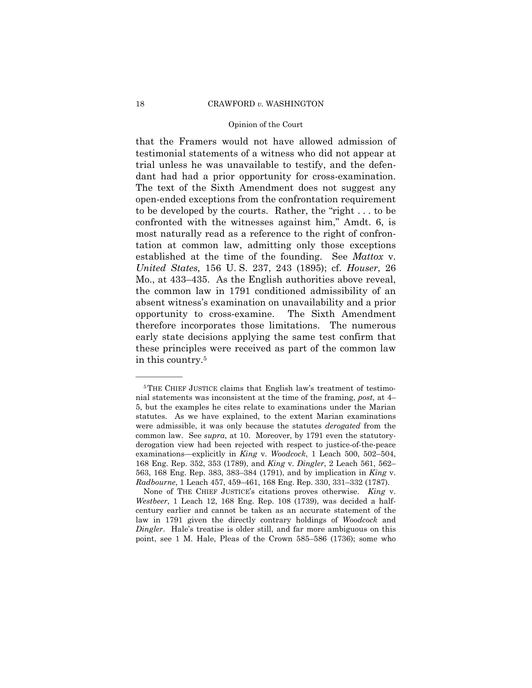that the Framers would not have allowed admission of testimonial statements of a witness who did not appear at trial unless he was unavailable to testify, and the defendant had had a prior opportunity for cross-examination. The text of the Sixth Amendment does not suggest any open-ended exceptions from the confrontation requirement to be developed by the courts. Rather, the "right  $\dots$  to be confronted with the witnesses against him," Amdt. 6, is most naturally read as a reference to the right of confrontation at common law, admitting only those exceptions established at the time of the founding. See *Mattox* v. *United States,* 156 U. S. 237, 243 (1895); cf. *Houser*, 26 Mo., at  $433-435$ . As the English authorities above reveal, the common law in 1791 conditioned admissibility of an absent witnessís examination on unavailability and a prior opportunity to cross-examine. The Sixth Amendment therefore incorporates those limitations. The numerous early state decisions applying the same test confirm that these principles were received as part of the common law in this country.5

<sup>5</sup>THE CHIEF JUSTICE claims that English lawís treatment of testimonial statements was inconsistent at the time of the framing, *post*, at  $4$ – 5, but the examples he cites relate to examinations under the Marian statutes. As we have explained, to the extent Marian examinations were admissible, it was only because the statutes *derogated* from the common law. See *supra*, at 10. Moreover, by 1791 even the statutoryderogation view had been rejected with respect to justice-of-the-peace examinations—explicitly in *King* v. *Woodcock*, 1 Leach 500, 502-504, 168 Eng. Rep. 352, 353 (1789), and *King* v. *Dingler*, 2 Leach 561, 562-563, 168 Eng. Rep. 383, 383-384 (1791), and by implication in *King* v. *Radbourne*, 1 Leach 457, 459-461, 168 Eng. Rep. 330, 331-332 (1787).

None of THE CHIEF JUSTICEís citations proves otherwise. *King* v. *Westbeer*, 1 Leach 12, 168 Eng. Rep. 108 (1739), was decided a halfcentury earlier and cannot be taken as an accurate statement of the law in 1791 given the directly contrary holdings of *Woodcock* and *Dingler*. Hale's treatise is older still, and far more ambiguous on this point, see 1 M. Hale, Pleas of the Crown  $585-586$  (1736); some who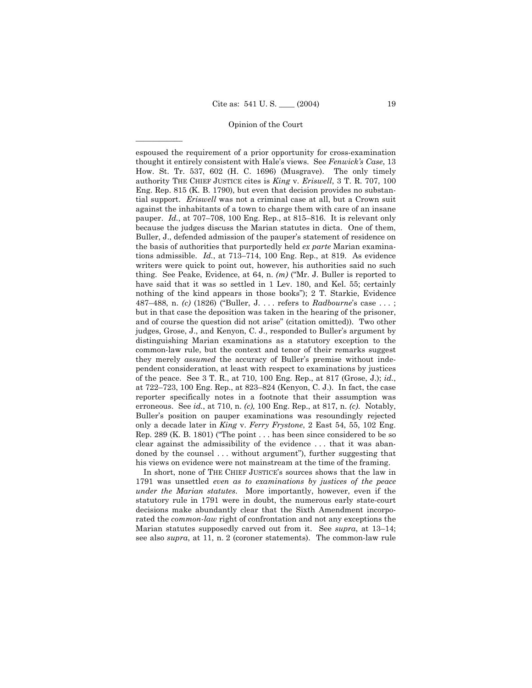<u>óóóóóóóóóóóóóó</u>

espoused the requirement of a prior opportunity for cross-examination thought it entirely consistent with Haleís views. See *Fenwickís Case*, 13 How. St. Tr. 537, 602 (H. C. 1696) (Musgrave). The only timely authority THE CHIEF JUSTICE cites is *King* v. *Eriswell*, 3 T. R. 707, 100 Eng. Rep. 815 (K. B. 1790), but even that decision provides no substantial support. *Eriswell* was not a criminal case at all, but a Crown suit against the inhabitants of a town to charge them with care of an insane pauper. *Id.*, at  $707-708$ , 100 Eng. Rep., at 815-816. It is relevant only because the judges discuss the Marian statutes in dicta. One of them, Buller, J., defended admission of the pauper's statement of residence on the basis of authorities that purportedly held *ex parte* Marian examinations admissible.  $Id$ , at  $713-714$ , 100 Eng. Rep., at 819. As evidence writers were quick to point out, however, his authorities said no such thing. See Peake, Evidence, at  $64$ , n.  $(m)$  ("Mr. J. Buller is reported to have said that it was so settled in 1 Lev. 180, and Kel. 55; certainly nothing of the kind appears in those books"); 2 T. Starkie, Evidence 487–488, n. *(c)* (1826) ("Buller, J. . . . refers to *Radbourne*'s case . . . ; but in that case the deposition was taken in the hearing of the prisoner, and of course the question did not arise" (citation omitted)). Two other judges, Grose, J., and Kenyon, C. J., responded to Buller's argument by distinguishing Marian examinations as a statutory exception to the common-law rule, but the context and tenor of their remarks suggest they merely *assumed* the accuracy of Buller's premise without independent consideration, at least with respect to examinations by justices of the peace. See 3 T. R., at 710, 100 Eng. Rep., at 817 (Grose, J.); *id.*, at  $722-723$ , 100 Eng. Rep., at  $823-824$  (Kenyon, C. J.). In fact, the case reporter specifically notes in a footnote that their assumption was erroneous. See *id.*, at 710, n. *(c),* 100 Eng. Rep., at 817, n. *(c)*. Notably, Buller's position on pauper examinations was resoundingly rejected only a decade later in *King* v. *Ferry Frystone*, 2 East 54, 55, 102 Eng. Rep. 289 (K. B. 1801) ("The point  $\dots$  has been since considered to be so clear against the admissibility of the evidence . . . that it was abandoned by the counsel . . . without argument"), further suggesting that his views on evidence were not mainstream at the time of the framing.

In short, none of THE CHIEF JUSTICEís sources shows that the law in 1791 was unsettled *even as to examinations by justices of the peace under the Marian statutes*. More importantly, however, even if the statutory rule in 1791 were in doubt, the numerous early state-court decisions make abundantly clear that the Sixth Amendment incorporated the *common-law* right of confrontation and not any exceptions the Marian statutes supposedly carved out from it. See *supra*, at 13–14; see also *supra*, at 11, n. 2 (coroner statements). The common-law rule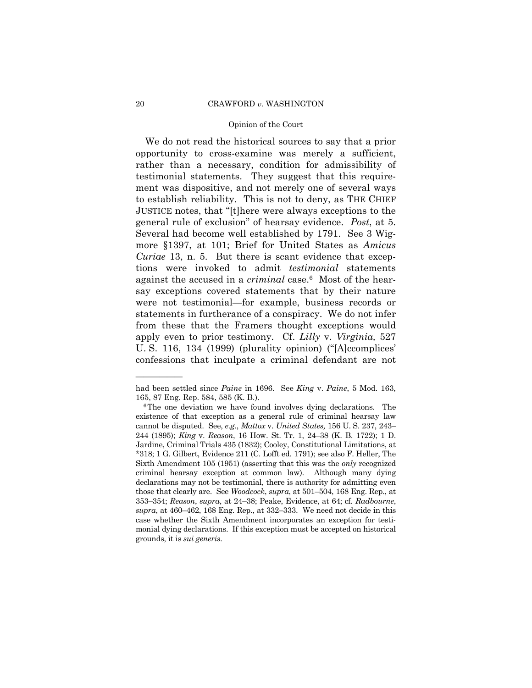#### 20 CRAWFORD *v.* WASHINGTON

#### Opinion of the Court

We do not read the historical sources to say that a prior opportunity to cross-examine was merely a sufficient, rather than a necessary, condition for admissibility of testimonial statements. They suggest that this requirement was dispositive, and not merely one of several ways to establish reliability. This is not to deny, as THE CHIEF JUSTICE notes, that "[t]here were always exceptions to the general rule of exclusionî of hearsay evidence. *Post*, at 5. Several had become well established by 1791. See 3 Wigmore ß1397, at 101; Brief for United States as *Amicus Curiae* 13, n. 5. But there is scant evidence that exceptions were invoked to admit *testimonial* statements against the accused in a *criminal* case.6 Most of the hearsay exceptions covered statements that by their nature were not testimonial—for example, business records or statements in furtherance of a conspiracy. We do not infer from these that the Framers thought exceptions would apply even to prior testimony. Cf. *Lilly* v. *Virginia,* 527 U. S. 116, 134 (1999) (plurality opinion) ( $A$ ]ccomplices confessions that inculpate a criminal defendant are not

had been settled since *Paine* in 1696. See *King* v. *Paine*, 5 Mod. 163, 165, 87 Eng. Rep. 584, 585 (K. B.).

<sup>&</sup>lt;sup>6</sup>The one deviation we have found involves dying declarations. The existence of that exception as a general rule of criminal hearsay law cannot be disputed. See, *e.g., Mattox v. United States,* 156 U.S. 237, 243– 244 (1895); *King v. Reason*, 16 How. St. Tr. 1, 24–38 (K. B. 1722); 1 D. Jardine, Criminal Trials 435 (1832); Cooley, Constitutional Limitations, at \*318; 1 G. Gilbert, Evidence 211 (C. Lofft ed. 1791); see also F. Heller, The Sixth Amendment 105 (1951) (asserting that this was the *only* recognized criminal hearsay exception at common law). Although many dying declarations may not be testimonial, there is authority for admitting even those that clearly are. See *Woodcock*, *supra*, at 501-504, 168 Eng. Rep., at 353–354; *Reason*, *supra*, at 24–38; Peake, Evidence, at 64; cf. *Radbourne*,  $supra$ , at 460–462, 168 Eng. Rep., at 332–333. We need not decide in this case whether the Sixth Amendment incorporates an exception for testimonial dying declarations. If this exception must be accepted on historical grounds, it is *sui generis*.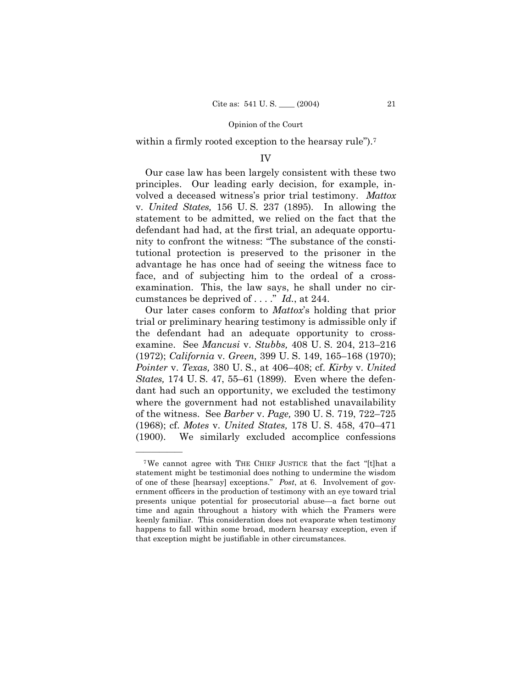within a firmly rooted exception to the hearsay rule").<sup>7</sup>

### IV

Our case law has been largely consistent with these two principles. Our leading early decision, for example, involved a deceased witnessís prior trial testimony. *Mattox* v. *United States,* 156 U. S. 237 (1895). In allowing the statement to be admitted, we relied on the fact that the defendant had had, at the first trial, an adequate opportunity to confront the witness: "The substance of the constitutional protection is preserved to the prisoner in the advantage he has once had of seeing the witness face to face, and of subjecting him to the ordeal of a crossexamination. This, the law says, he shall under no circumstances be deprived of . . . .î *Id.*, at 244.

Our later cases conform to *Mattox*ís holding that prior trial or preliminary hearing testimony is admissible only if the defendant had an adequate opportunity to crossexamine. See *Mancusi* v. *Stubbs*, 408 U. S. 204, 213-216 (1972); *California* v. *Green*, 399 U. S. 149, 165–168 (1970); *Pointer* v. *Texas*, 380 U. S., at 406-408; cf. *Kirby* v. *United States,* 174 U.S. 47, 55–61 (1899). Even where the defendant had such an opportunity, we excluded the testimony where the government had not established unavailability of the witness. See *Barber* v. *Page*, 390 U.S. 719, 722–725 (1968); cf. *Motes* v. *United States*, 178 U.S. 458, 470-471 (1900). We similarly excluded accomplice confessions

 $7$ We cannot agree with THE CHIEF JUSTICE that the fact "[t]hat a statement might be testimonial does nothing to undermine the wisdom of one of these [hearsay] exceptions.î *Post*, at 6. Involvement of government officers in the production of testimony with an eye toward trial presents unique potential for prosecutorial abuse—a fact borne out time and again throughout a history with which the Framers were keenly familiar. This consideration does not evaporate when testimony happens to fall within some broad, modern hearsay exception, even if that exception might be justifiable in other circumstances.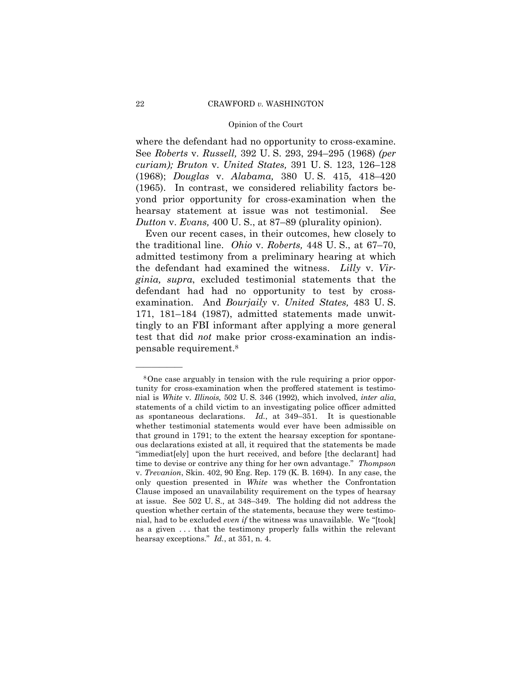where the defendant had no opportunity to cross-examine. See *Roberts* v. *Russell*, 392 U. S. 293, 294–295 (1968) *(per curiam); Bruton* v. *United States*, 391 U.S. 123, 126–128 (1968); *Douglas* v. *Alabama*, 380 U.S. 415, 418–420 (1965). In contrast, we considered reliability factors beyond prior opportunity for cross-examination when the hearsay statement at issue was not testimonial. See *Dutton* v. *Evans*, 400 U. S., at 87–89 (plurality opinion).

Even our recent cases, in their outcomes, hew closely to the traditional line. *Ohio* v. *Roberts*, 448 U.S., at 67–70, admitted testimony from a preliminary hearing at which the defendant had examined the witness. *Lilly* v. *Virginia, supra*, excluded testimonial statements that the defendant had had no opportunity to test by crossexamination. And *Bourjaily* v. *United States,* 483 U. S.  $171, 181–184$  (1987), admitted statements made unwittingly to an FBI informant after applying a more general test that did *not* make prior cross-examination an indispensable requirement.8

<sup>8</sup>One case arguably in tension with the rule requiring a prior opportunity for cross-examination when the proffered statement is testimonial is *White* v. *Illinois,* 502 U. S. 346 (1992), which involved, *inter alia*, statements of a child victim to an investigating police officer admitted as spontaneous declarations.  $Id.$ , at  $349-351$ . It is questionable whether testimonial statements would ever have been admissible on that ground in 1791; to the extent the hearsay exception for spontaneous declarations existed at all, it required that the statements be made "immediat[ely] upon the hurt received, and before [the declarant] had time to devise or contrive any thing for her own advantage.î *Thompson* v. *Trevanion*, Skin. 402, 90 Eng. Rep. 179 (K. B. 1694). In any case, the only question presented in *White* was whether the Confrontation Clause imposed an unavailability requirement on the types of hearsay at issue. See  $502$  U.S., at  $348-349$ . The holding did not address the question whether certain of the statements, because they were testimonial, had to be excluded *even if* the witness was unavailable. We "[took] as a given . . . that the testimony properly falls within the relevant hearsay exceptions.<sup>*n*</sup> *Id.*, at 351, n. 4.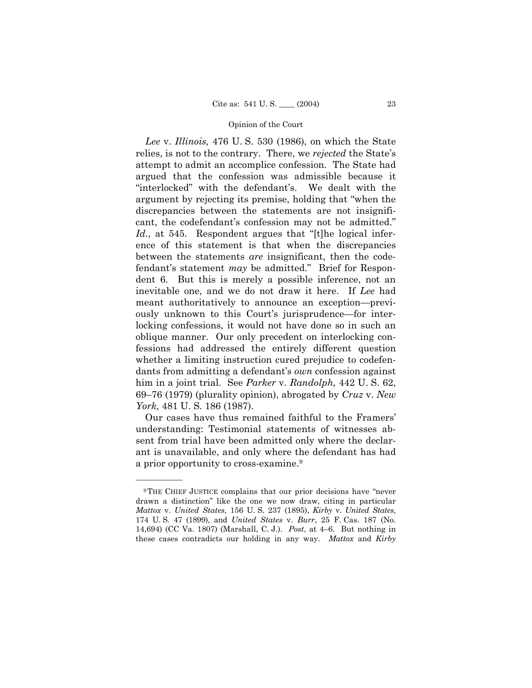*Lee* v. *Illinois,* 476 U. S. 530 (1986), on which the State relies, is not to the contrary. There, we *rejected* the State's attempt to admit an accomplice confession. The State had argued that the confession was admissible because it "interlocked" with the defendant's. We dealt with the argument by rejecting its premise, holding that "when the discrepancies between the statements are not insignificant, the codefendant's confession may not be admitted." *Id.*, at 545. Respondent argues that "[t]he logical inference of this statement is that when the discrepancies between the statements *are* insignificant, then the codefendant's statement *may* be admitted." Brief for Respondent 6. But this is merely a possible inference, not an inevitable one, and we do not draw it here. If *Lee* had meant authoritatively to announce an exception—previously unknown to this Court's jurisprudence—for interlocking confessions, it would not have done so in such an oblique manner. Our only precedent on interlocking confessions had addressed the entirely different question whether a limiting instruction cured prejudice to codefendants from admitting a defendant's *own* confession against him in a joint trial. See *Parker* v. *Randolph,* 442 U. S. 62, 69–76 (1979) (plurality opinion), abrogated by *Cruz* v. *New York,* 481 U. S. 186 (1987).

Our cases have thus remained faithful to the Framers' understanding: Testimonial statements of witnesses absent from trial have been admitted only where the declarant is unavailable, and only where the defendant has had a prior opportunity to cross-examine.9

<sup>&</sup>lt;sup>9</sup>THE CHIEF JUSTICE complains that our prior decisions have "never drawn a distinctionî like the one we now draw, citing in particular *Mattox* v. *United States,* 156 U. S. 237 (1895), *Kirby* v. *United States,* 174 U. S. 47 (1899), and *United States* v. *Burr*, 25 F. Cas. 187 (No. 14,694) (CC Va. 1807) (Marshall, C. J.). *Post*, at 4–6. But nothing in these cases contradicts our holding in any way. *Mattox* and *Kirby*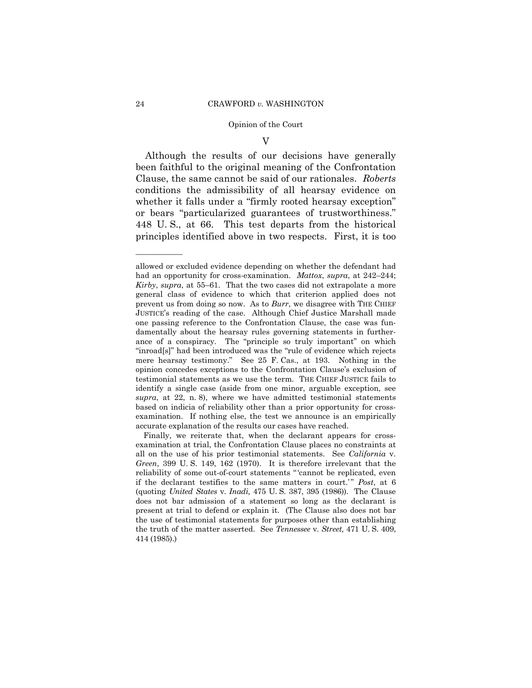V

Although the results of our decisions have generally been faithful to the original meaning of the Confrontation Clause, the same cannot be said of our rationales. *Roberts* conditions the admissibility of all hearsay evidence on whether it falls under a "firmly rooted hearsay exception" or bears "particularized guarantees of trustworthiness." 448 U. S., at 66. This test departs from the historical principles identified above in two respects. First, it is too

allowed or excluded evidence depending on whether the defendant had had an opportunity for cross-examination. *Mattox*, *supra*, at 242-244; *Kirby*, *supra*, at 55–61. That the two cases did not extrapolate a more general class of evidence to which that criterion applied does not prevent us from doing so now. As to *Burr*, we disagree with THE CHIEF JUSTICEís reading of the case. Although Chief Justice Marshall made one passing reference to the Confrontation Clause, the case was fundamentally about the hearsay rules governing statements in furtherance of a conspiracy. The "principle so truly important" on which "inroad[s]" had been introduced was the "rule of evidence which rejects mere hearsay testimony.î See 25 F. Cas., at 193. Nothing in the opinion concedes exceptions to the Confrontation Clauseís exclusion of testimonial statements as we use the term. THE CHIEF JUSTICE fails to identify a single case (aside from one minor, arguable exception, see *supra*, at 22, n. 8), where we have admitted testimonial statements based on indicia of reliability other than a prior opportunity for crossexamination. If nothing else, the test we announce is an empirically accurate explanation of the results our cases have reached.

Finally, we reiterate that, when the declarant appears for crossexamination at trial, the Confrontation Clause places no constraints at all on the use of his prior testimonial statements. See *California* v. *Green*, 399 U. S. 149, 162 (1970). It is therefore irrelevant that the reliability of some out-of-court statements "'cannot be replicated, even if the declarant testifies to the same matters in court." Post, at 6 (quoting *United States* v. *Inadi,* 475 U. S. 387, 395 (1986)). The Clause does not bar admission of a statement so long as the declarant is present at trial to defend or explain it. (The Clause also does not bar the use of testimonial statements for purposes other than establishing the truth of the matter asserted. See *Tennessee* v. *Street,* 471 U. S. 409, 414 (1985).)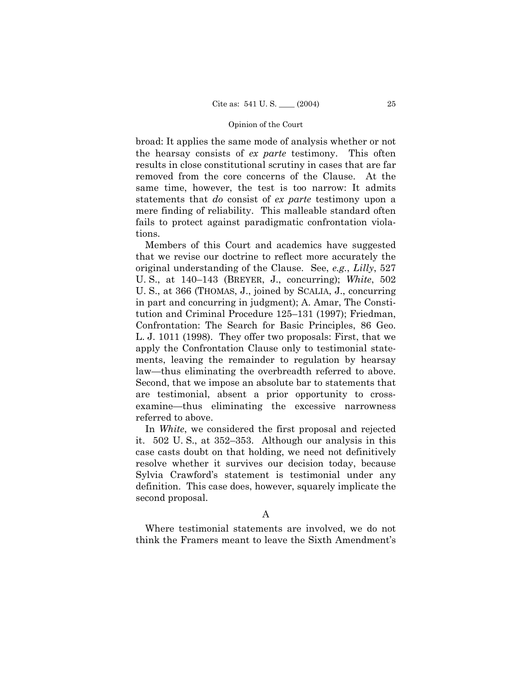broad: It applies the same mode of analysis whether or not the hearsay consists of *ex parte* testimony. This often results in close constitutional scrutiny in cases that are far removed from the core concerns of the Clause. At the same time, however, the test is too narrow: It admits statements that *do* consist of *ex parte* testimony upon a mere finding of reliability. This malleable standard often fails to protect against paradigmatic confrontation violations.

Members of this Court and academics have suggested that we revise our doctrine to reflect more accurately the original understanding of the Clause. See, *e.g.*, *Lilly*, 527 U. S., at 140–143 (BREYER, J., concurring); *White*, 502 U. S., at 366 (THOMAS, J., joined by SCALIA, J., concurring in part and concurring in judgment); A. Amar, The Constitution and Criminal Procedure  $125-131$  (1997); Friedman, Confrontation: The Search for Basic Principles, 86 Geo. L. J. 1011 (1998). They offer two proposals: First, that we apply the Confrontation Clause only to testimonial statements, leaving the remainder to regulation by hearsay law—thus eliminating the overbreadth referred to above. Second, that we impose an absolute bar to statements that are testimonial, absent a prior opportunity to crossexamine—thus eliminating the excessive narrowness referred to above.

In *White*, we considered the first proposal and rejected it.  $502$  U.S., at  $352-353$ . Although our analysis in this case casts doubt on that holding, we need not definitively resolve whether it survives our decision today, because Sylvia Crawford's statement is testimonial under any definition. This case does, however, squarely implicate the second proposal.

A

Where testimonial statements are involved, we do not think the Framers meant to leave the Sixth Amendment's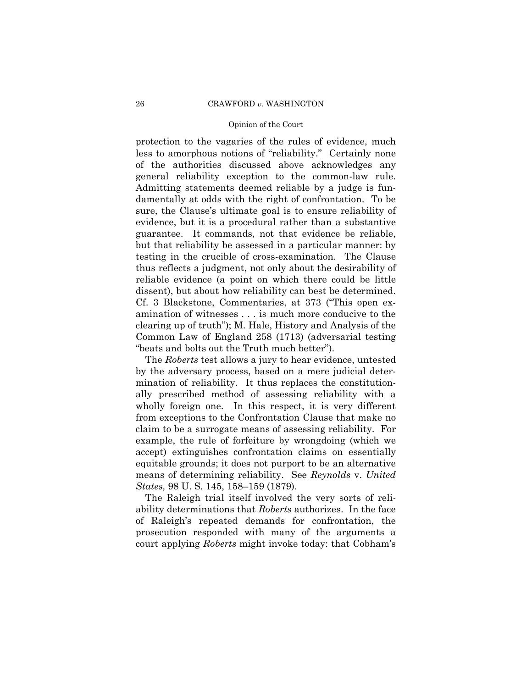protection to the vagaries of the rules of evidence, much less to amorphous notions of "reliability." Certainly none of the authorities discussed above acknowledges any general reliability exception to the common-law rule. Admitting statements deemed reliable by a judge is fundamentally at odds with the right of confrontation. To be sure, the Clause's ultimate goal is to ensure reliability of evidence, but it is a procedural rather than a substantive guarantee. It commands, not that evidence be reliable, but that reliability be assessed in a particular manner: by testing in the crucible of cross-examination. The Clause thus reflects a judgment, not only about the desirability of reliable evidence (a point on which there could be little dissent), but about how reliability can best be determined. Cf. 3 Blackstone, Commentaries, at  $373$  ("This open examination of witnesses . . . is much more conducive to the clearing up of truth"); M. Hale, History and Analysis of the Common Law of England 258 (1713) (adversarial testing "beats and bolts out the Truth much better").

The *Roberts* test allows a jury to hear evidence, untested by the adversary process, based on a mere judicial determination of reliability. It thus replaces the constitutionally prescribed method of assessing reliability with a wholly foreign one. In this respect, it is very different from exceptions to the Confrontation Clause that make no claim to be a surrogate means of assessing reliability. For example, the rule of forfeiture by wrongdoing (which we accept) extinguishes confrontation claims on essentially equitable grounds; it does not purport to be an alternative means of determining reliability. See *Reynolds* v. *United States,* 98 U.S. 145, 158-159 (1879).

The Raleigh trial itself involved the very sorts of reliability determinations that *Roberts* authorizes. In the face of Raleigh's repeated demands for confrontation, the prosecution responded with many of the arguments a court applying *Roberts* might invoke today: that Cobhamís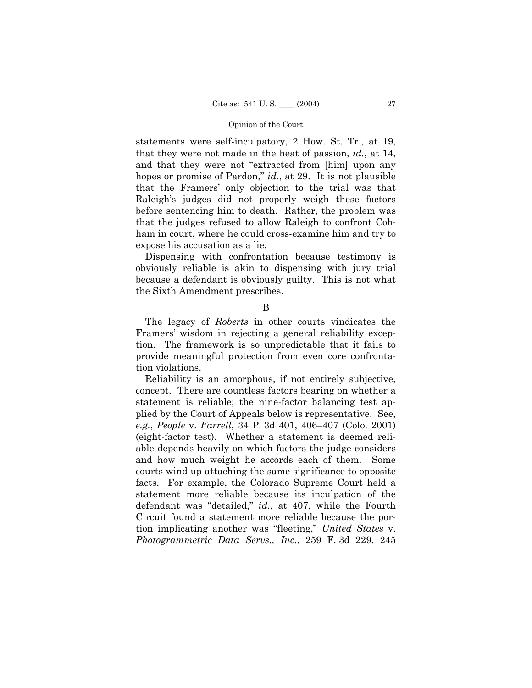statements were self-inculpatory, 2 How. St. Tr., at 19, that they were not made in the heat of passion, *id.*, at 14, and that they were not "extracted from [him] upon any hopes or promise of Pardon," *id.*, at 29. It is not plausible that the Framersí only objection to the trial was that Raleigh's judges did not properly weigh these factors before sentencing him to death. Rather, the problem was that the judges refused to allow Raleigh to confront Cobham in court, where he could cross-examine him and try to expose his accusation as a lie.

Dispensing with confrontation because testimony is obviously reliable is akin to dispensing with jury trial because a defendant is obviously guilty. This is not what the Sixth Amendment prescribes.

B

The legacy of *Roberts* in other courts vindicates the Framersí wisdom in rejecting a general reliability exception. The framework is so unpredictable that it fails to provide meaningful protection from even core confrontation violations.

Reliability is an amorphous, if not entirely subjective, concept. There are countless factors bearing on whether a statement is reliable; the nine-factor balancing test applied by the Court of Appeals below is representative. See, *e.g., People v. Farrell, 34 P. 3d 401, 406-407 (Colo. 2001)* (eight-factor test). Whether a statement is deemed reliable depends heavily on which factors the judge considers and how much weight he accords each of them. Some courts wind up attaching the same significance to opposite facts. For example, the Colorado Supreme Court held a statement more reliable because its inculpation of the defendant was "detailed," *id.*, at 407, while the Fourth Circuit found a statement more reliable because the portion implicating another was "fleeting," *United States* v. *Photogrammetric Data Servs., Inc.*, 259 F. 3d 229, 245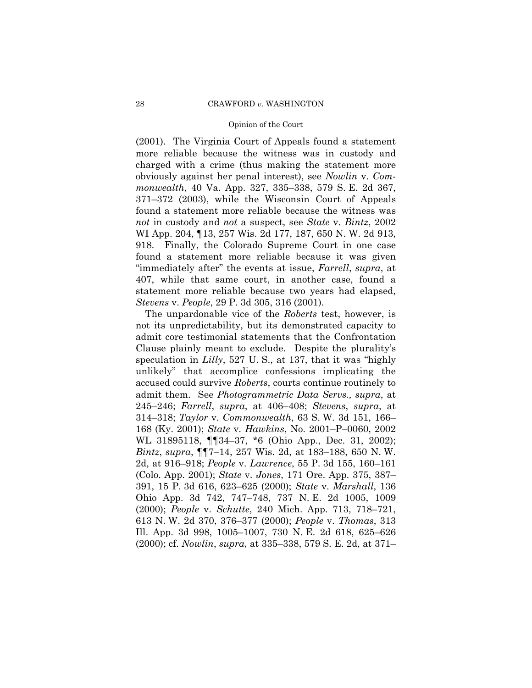(2001). The Virginia Court of Appeals found a statement more reliable because the witness was in custody and charged with a crime (thus making the statement more obviously against her penal interest), see *Nowlin* v. *Commonwealth*, 40 Va. App. 327, 335–338, 579 S. E. 2d 367,  $371-372$  (2003), while the Wisconsin Court of Appeals found a statement more reliable because the witness was *not* in custody and *not* a suspect, see *State* v. *Bintz*, 2002 WI App. 204, ¶13, 257 Wis. 2d 177, 187, 650 N. W. 2d 913, 918. Finally, the Colorado Supreme Court in one case found a statement more reliable because it was given ìimmediately afterî the events at issue, *Farrell*, *supra*, at 407, while that same court, in another case, found a statement more reliable because two years had elapsed, *Stevens* v. *People*, 29 P. 3d 305, 316 (2001).

The unpardonable vice of the *Roberts* test, however, is not its unpredictability, but its demonstrated capacity to admit core testimonial statements that the Confrontation Clause plainly meant to exclude. Despite the pluralityís speculation in *Lilly*, 527 U.S., at 137, that it was "highly unlikelyî that accomplice confessions implicating the accused could survive *Roberts*, courts continue routinely to admit them. See *Photogrammetric Data Servs., supra*, at 245–246; *Farrell*, *supra*, at 406–408; *Stevens*, *supra*, at 314-318; *Taylor* v. *Commonwealth*, 63 S. W. 3d 151, 166-168 (Ky. 2001); *State* v. *Hawkins*, No. 2001-P-0060, 2002 WL 31895118, ¶¶34–37, \*6 (Ohio App., Dec. 31, 2002); *Bintz*, *supra*,  $\P$ [7–14, 257 Wis. 2d, at 183–188, 650 N. W. 2d, at 916–918; *People* v. *Lawrence*, 55 P. 3d 155, 160–161 (Colo. App. 2001); *State* v. *Jones*, 171 Ore. App. 375, 387– 391, 15 P. 3d 616, 623–625 (2000); *State* v. *Marshall*, 136 Ohio App. 3d 742, 747–748, 737 N. E. 2d 1005, 1009 (2000); *People* v. *Schutte*, 240 Mich. App. 713, 718–721, 613 N. W. 2d 370, 376–377 (2000); *People* v. *Thomas*, 313 Ill. App. 3d 998, 1005–1007, 730 N. E. 2d 618, 625–626 (2000); cf. *Nowlin*, *supra*, at 335–338, 579 S. E. 2d, at 371–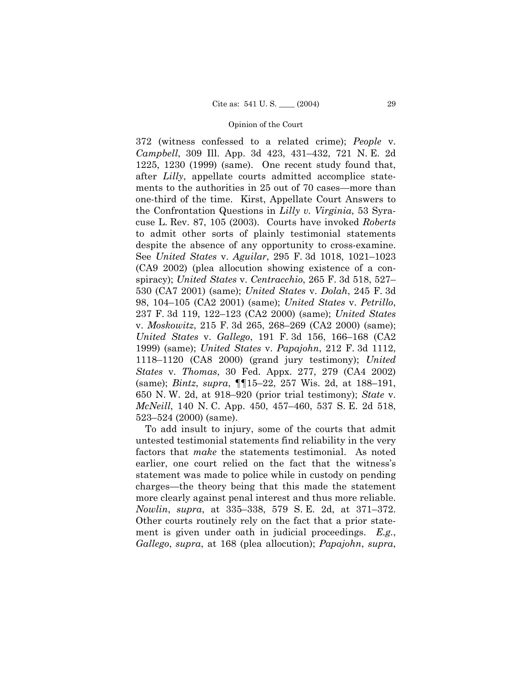372 (witness confessed to a related crime); *People* v. *Campbell*, 309 Ill. App. 3d 423, 431–432, 721 N. E. 2d 1225, 1230 (1999) (same). One recent study found that, after *Lilly*, appellate courts admitted accomplice statements to the authorities in 25 out of 70 cases—more than one-third of the time. Kirst, Appellate Court Answers to the Confrontation Questions in *Lilly v. Virginia*, 53 Syracuse L. Rev. 87, 105 (2003). Courts have invoked *Roberts* to admit other sorts of plainly testimonial statements despite the absence of any opportunity to cross-examine. See *United States* v. *Aguilar*, 295 F. 3d 1018, 1021–1023 (CA9 2002) (plea allocution showing existence of a conspiracy); *United States* v. *Centracchio*, 265 F. 3d 518, 527– 530 (CA7 2001) (same); *United States* v. *Dolah*, 245 F. 3d 98, 104–105 (CA2 2001) (same); *United States* v. *Petrillo*, 237 F. 3d 119, 122-123 (CA2 2000) (same); *United States* v. *Moskowitz*, 215 F. 3d 265, 268–269 (CA2 2000) (same); *United States* v. *Gallego*, 191 F. 3d 156, 166–168 (CA2 1999) (same); *United States* v. *Papajohn*, 212 F. 3d 1112, 1118<sup>-1120</sup> (CA8 2000) (grand jury testimony); *United States* v. *Thomas*, 30 Fed. Appx. 277, 279 (CA4 2002) (same); *Bintz*, *supra*, **[**[15–22, 257 Wis. 2d, at 188–191, 650 N.W. 2d, at 918–920 (prior trial testimony); *State* v. *McNeill*, 140 N. C. App. 450, 457–460, 537 S. E. 2d 518,  $523 - 524$  (2000) (same).

To add insult to injury, some of the courts that admit untested testimonial statements find reliability in the very factors that *make* the statements testimonial. As noted earlier, one court relied on the fact that the witness's statement was made to police while in custody on pending charges—the theory being that this made the statement more clearly against penal interest and thus more reliable. *Nowlin, supra, at 335–338, 579 S.E. 2d, at 371–372.* Other courts routinely rely on the fact that a prior statement is given under oath in judicial proceedings. *E.g.*, *Gallego*, *supra*, at 168 (plea allocution); *Papajohn*, *supra*,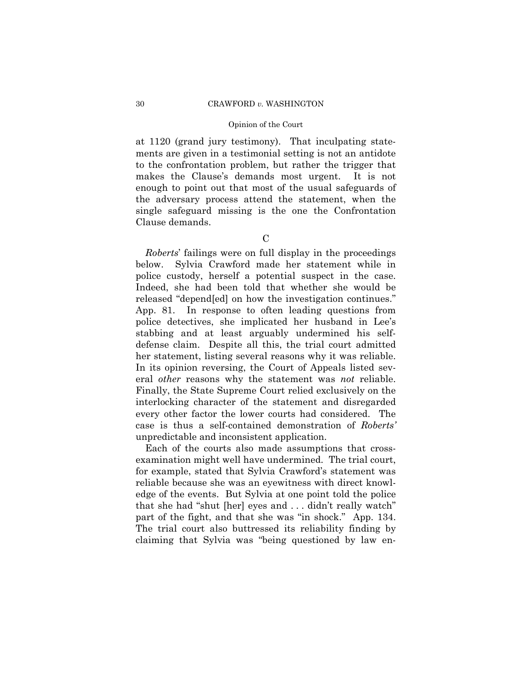at 1120 (grand jury testimony). That inculpating statements are given in a testimonial setting is not an antidote to the confrontation problem, but rather the trigger that makes the Clause's demands most urgent. It is not enough to point out that most of the usual safeguards of the adversary process attend the statement, when the single safeguard missing is the one the Confrontation Clause demands.

 $\mathcal{C}$ 

*Roberts*í failings were on full display in the proceedings below. Sylvia Crawford made her statement while in police custody, herself a potential suspect in the case. Indeed, she had been told that whether she would be released "depend[ed] on how the investigation continues." App. 81. In response to often leading questions from police detectives, she implicated her husband in Lee's stabbing and at least arguably undermined his selfdefense claim. Despite all this, the trial court admitted her statement, listing several reasons why it was reliable. In its opinion reversing, the Court of Appeals listed several *other* reasons why the statement was *not* reliable. Finally, the State Supreme Court relied exclusively on the interlocking character of the statement and disregarded every other factor the lower courts had considered. The case is thus a self-contained demonstration of *Robertsí* unpredictable and inconsistent application.

Each of the courts also made assumptions that crossexamination might well have undermined. The trial court, for example, stated that Sylvia Crawford's statement was reliable because she was an eyewitness with direct knowledge of the events. But Sylvia at one point told the police that she had "shut [her] eyes and  $\ldots$  didn't really watch" part of the fight, and that she was "in shock." App. 134. The trial court also buttressed its reliability finding by claiming that Sylvia was "being questioned by law en-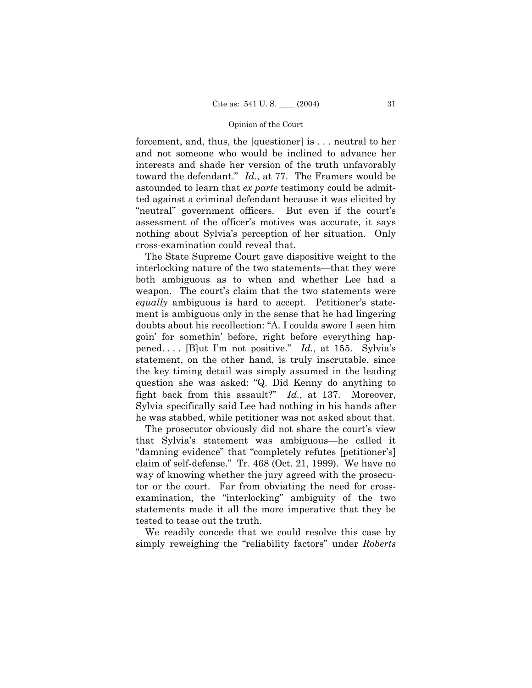forcement, and, thus, the [questioner] is . . . neutral to her and not someone who would be inclined to advance her interests and shade her version of the truth unfavorably toward the defendant.î *Id.*, at 77. The Framers would be astounded to learn that *ex parte* testimony could be admitted against a criminal defendant because it was elicited by "neutral" government officers. But even if the court's assessment of the officer's motives was accurate, it says nothing about Sylviaís perception of her situation. Only cross-examination could reveal that.

The State Supreme Court gave dispositive weight to the interlocking nature of the two statements—that they were both ambiguous as to when and whether Lee had a weapon. The court's claim that the two statements were *equally* ambiguous is hard to accept. Petitioner's statement is ambiguous only in the sense that he had lingering doubts about his recollection: "A. I coulda swore I seen him goiní for somethiní before, right before everything happened. . . . [B]ut Iím not positive.î *Id.*, at 155. Sylviaís statement, on the other hand, is truly inscrutable, since the key timing detail was simply assumed in the leading question she was asked: "Q. Did Kenny do anything to fight back from this assault?î *Id.*, at 137. Moreover, Sylvia specifically said Lee had nothing in his hands after he was stabbed, while petitioner was not asked about that.

The prosecutor obviously did not share the court's view that Sylvia's statement was ambiguous—he called it "damning evidence" that "completely refutes [petitioner's] claim of self-defense." Tr.  $468$  (Oct. 21, 1999). We have no way of knowing whether the jury agreed with the prosecutor or the court. Far from obviating the need for crossexamination, the "interlocking" ambiguity of the two statements made it all the more imperative that they be tested to tease out the truth.

We readily concede that we could resolve this case by simply reweighing the "reliability factors" under *Roberts*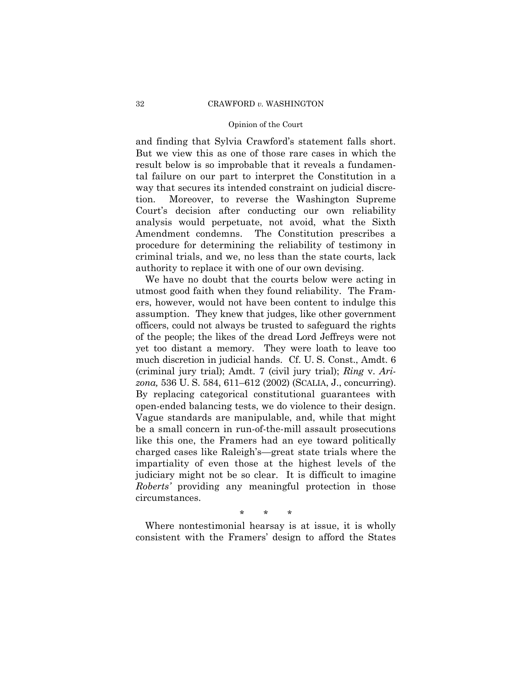## 32 CRAWFORD *v.* WASHINGTON

#### Opinion of the Court

and finding that Sylvia Crawford's statement falls short. But we view this as one of those rare cases in which the result below is so improbable that it reveals a fundamental failure on our part to interpret the Constitution in a way that secures its intended constraint on judicial discretion. Moreover, to reverse the Washington Supreme Court's decision after conducting our own reliability analysis would perpetuate, not avoid, what the Sixth Amendment condemns. The Constitution prescribes a procedure for determining the reliability of testimony in criminal trials, and we, no less than the state courts, lack authority to replace it with one of our own devising.

We have no doubt that the courts below were acting in utmost good faith when they found reliability. The Framers, however, would not have been content to indulge this assumption. They knew that judges, like other government officers, could not always be trusted to safeguard the rights of the people; the likes of the dread Lord Jeffreys were not yet too distant a memory. They were loath to leave too much discretion in judicial hands. Cf. U. S. Const., Amdt. 6 (criminal jury trial); Amdt. 7 (civil jury trial); *Ring* v. *Arizona*, 536 U. S. 584, 611–612 (2002) (SCALIA, J., concurring). By replacing categorical constitutional guarantees with open-ended balancing tests, we do violence to their design. Vague standards are manipulable, and, while that might be a small concern in run-of-the-mill assault prosecutions like this one, the Framers had an eye toward politically charged cases like Raleigh's—great state trials where the impartiality of even those at the highest levels of the judiciary might not be so clear. It is difficult to imagine *Robertsí* providing any meaningful protection in those circumstances.

\* \* \*

Where nontestimonial hearsay is at issue, it is wholly consistent with the Framersí design to afford the States